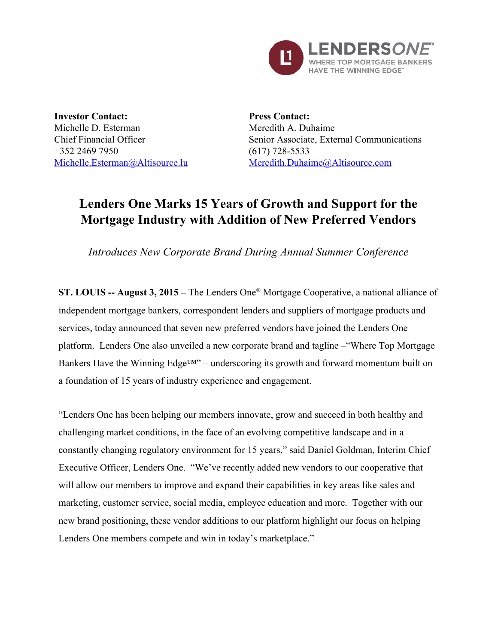

**Investor Contact:** Michelle D. Esterman Chief Financial Officer +352 2469 7950 [Michelle.Esterman@Altisource.lu](mailto:Michelle.Esterman@Altisource.lu)

**Press Contact:** Meredith A. Duhaime Senior Associate, External Communications  $(617)$  728-5533 [Meredith.Duhaime@Altisource.com](mailto:meredith.duhaime@altisource.com)

## **Lenders One Marks 15 Years of Growth and Support for the Mortgage Industry with Addition of New Preferred Vendors**

*Introduces New Corporate Brand During Annual Summer Conference*

**ST. LOUIS August 3, 2015 –** The Lenders One ® Mortgage Cooperative, a national alliance of independent mortgage bankers, correspondent lenders and suppliers of mortgage products and services, today announced that seven new preferred vendors have joined the Lenders One platform. Lenders One also unveiled a new corporate brand and tagline –"Where Top Mortgage Bankers Have the Winning Edge<sup>TM"</sup> – underscoring its growth and forward momentum built on a foundation of 15 years of industry experience and engagement.

"Lenders One has been helping our members innovate, grow and succeed in both healthy and challenging market conditions, in the face of an evolving competitive landscape and in a constantly changing regulatory environment for 15 years," said Daniel Goldman, Interim Chief Executive Officer, Lenders One. "We've recently added new vendors to our cooperative that will allow our members to improve and expand their capabilities in key areas like sales and marketing, customer service, social media, employee education and more. Together with our new brand positioning, these vendor additions to our platform highlight our focus on helping Lenders One members compete and win in today's marketplace."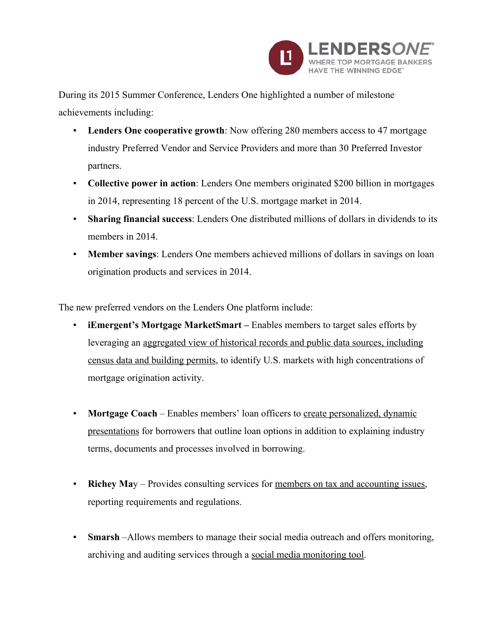

During its 2015 Summer Conference, Lenders One highlighted a number of milestone achievements including:

- **Lenders One cooperative growth**: Now offering 280 members access to 47 mortgage industry Preferred Vendor and Service Providers and more than 30 Preferred Investor partners.
- **Collective power in action**: Lenders One members originated \$200 billion in mortgages in 2014, representing 18 percent of the U.S. mortgage market in 2014.
- **Sharing financial success**: Lenders One distributed millions of dollars in dividends to its members in 2014.
- **Member savings**: Lenders One members achieved millions of dollars in savings on loan origination products and services in 2014.

The new preferred vendors on the Lenders One platform include:

- **iEmergent's Mortgage MarketSmart –** Enables members to target sales efforts by leveraging an aggregated view of historical records and public data sources, including census data and building permits, to identify U.S. markets with high concentrations of mortgage origination activity.
- **Mortgage Coach** Enables members' loan officers to create personalized, dynamic presentations for borrowers that outline loan options in addition to explaining industry terms, documents and processes involved in borrowing.
- **Richey May** Provides consulting services for members on tax and accounting issues, reporting requirements and regulations.
- **Smarsh**–Allows members to manage their social media outreach and offers monitoring, archiving and auditing services through a social media monitoring tool.